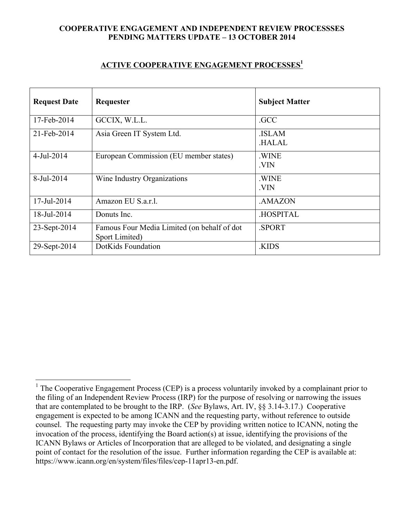## **COOPERATIVE ENGAGEMENT AND INDEPENDENT REVIEW PROCESSSES PENDING MATTERS UPDATE – 13 OCTOBER 2014**

## **ACTIVE COOPERATIVE ENGAGEMENT PROCESSES1**

| <b>Request Date</b> | Requester                                                     | <b>Subject Matter</b>        |
|---------------------|---------------------------------------------------------------|------------------------------|
| 17-Feb-2014         | GCCIX, W.L.L.                                                 | .GCC                         |
| 21-Feb-2014         | Asia Green IT System Ltd.                                     | <b>ISLAM</b><br><b>HALAL</b> |
| 4-Jul-2014          | European Commission (EU member states)                        | .WINE<br>.VIN                |
| 8-Jul-2014          | Wine Industry Organizations                                   | .WINE<br>.VIN                |
| 17-Jul-2014         | Amazon EU S.a.r.l.                                            | .AMAZON                      |
| 18-Jul-2014         | Donuts Inc.                                                   | .HOSPITAL                    |
| 23-Sept-2014        | Famous Four Media Limited (on behalf of dot<br>Sport Limited) | .SPORT                       |
| 29-Sept-2014        | DotKids Foundation                                            | .KIDS                        |

<sup>&</sup>lt;sup>1</sup> The Cooperative Engagement Process (CEP) is a process voluntarily invoked by a complainant prior to the filing of an Independent Review Process (IRP) for the purpose of resolving or narrowing the issues that are contemplated to be brought to the IRP. (*See* Bylaws, Art. IV, §§ 3.14-3.17.) Cooperative engagement is expected to be among ICANN and the requesting party, without reference to outside counsel. The requesting party may invoke the CEP by providing written notice to ICANN, noting the invocation of the process, identifying the Board action(s) at issue, identifying the provisions of the ICANN Bylaws or Articles of Incorporation that are alleged to be violated, and designating a single point of contact for the resolution of the issue. Further information regarding the CEP is available at: https://www.icann.org/en/system/files/files/cep-11apr13-en.pdf.